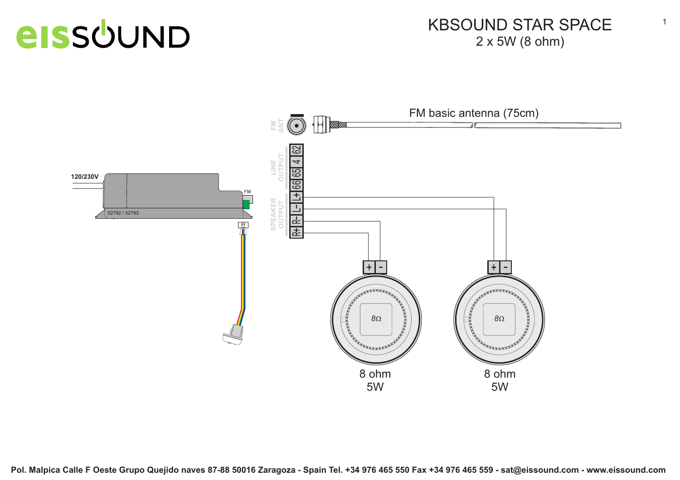#### KBSOUND STAR SPACE2 x 5W (8 ohm)

1

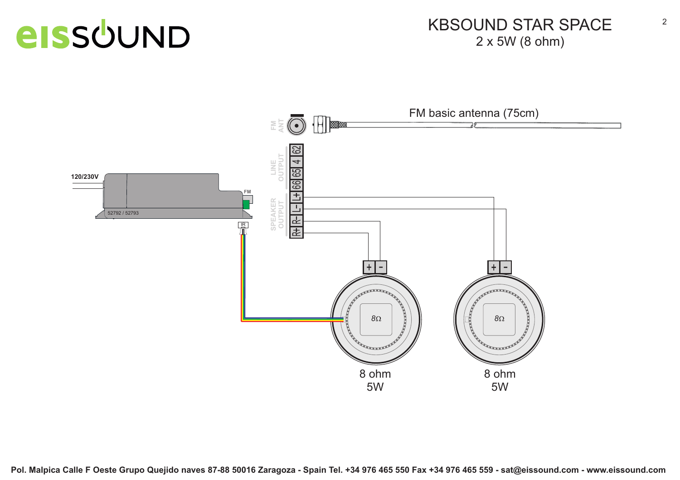#### KBSOUND STAR SPACE2 x 5W (8 ohm)

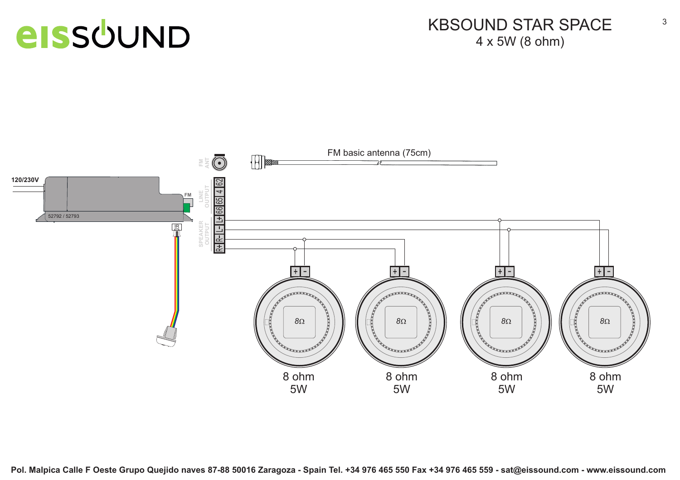#### KBSOUND STAR SPACE4 x 5W (8 ohm)

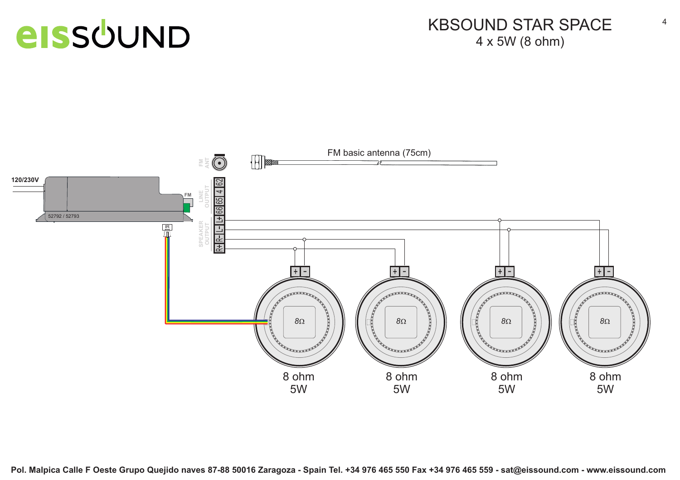#### KBSOUND STAR SPACE4 x 5W (8 ohm)

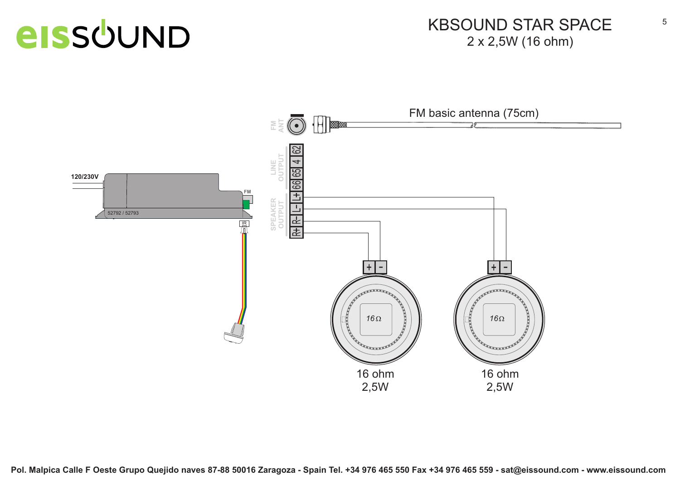#### KBSOUND STAR SPACE2 x 2,5W (16 ohm)

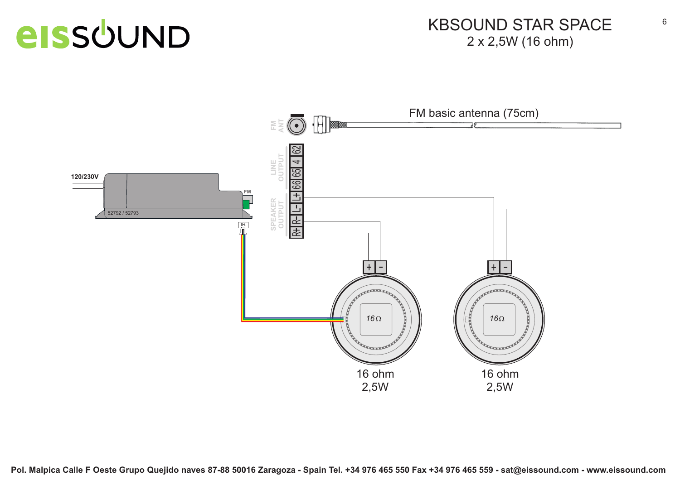#### KBSOUND STAR SPACE2 x 2,5W (16 ohm)

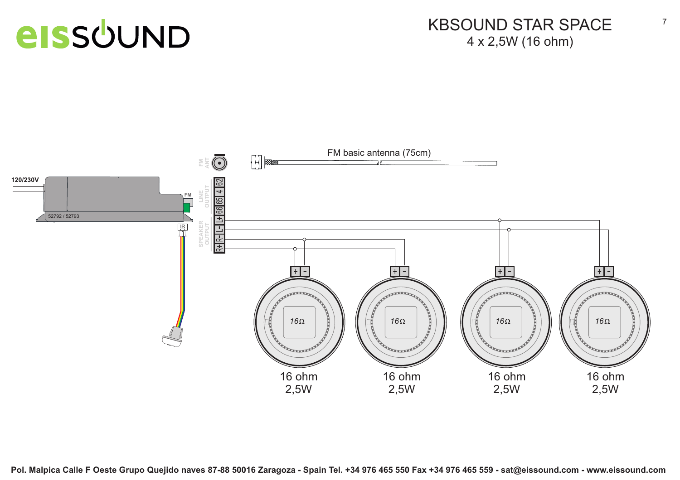#### KBSOUND STAR SPACE4 x 2,5W (16 ohm)

7

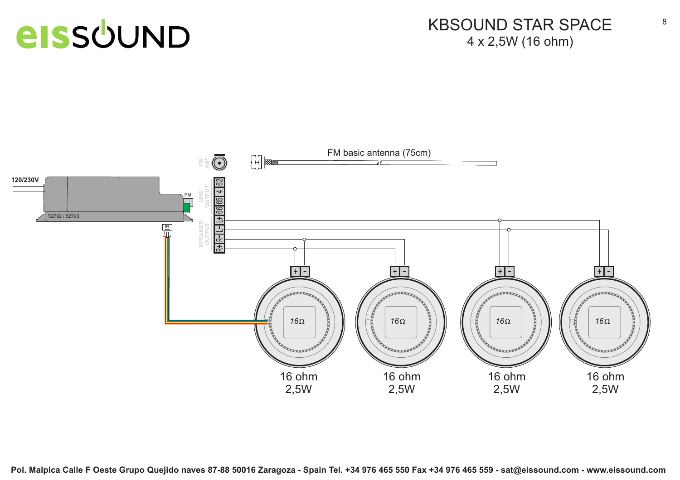#### KBSOUND STAR SPACE4 x 2,5W (16 ohm)

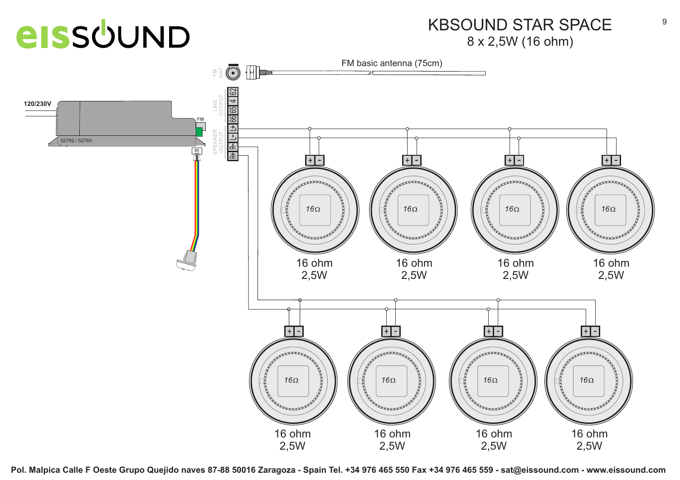#### KBSOUND STAR SPACE8 x 2,5W (16 ohm)

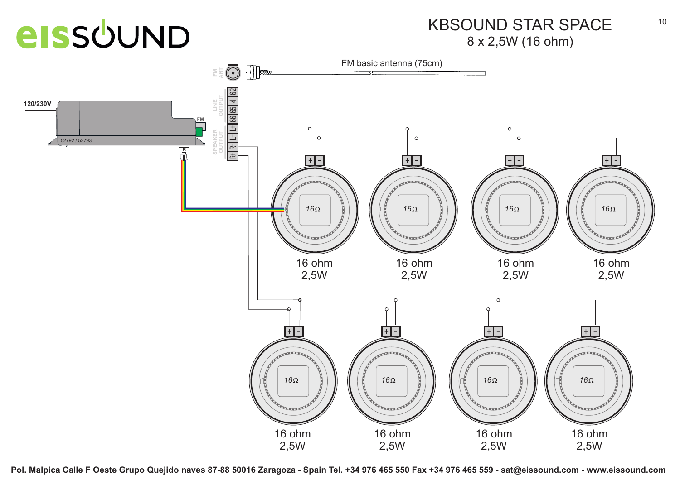#### KBSOUND STAR SPACE8 x 2,5W (16 ohm)

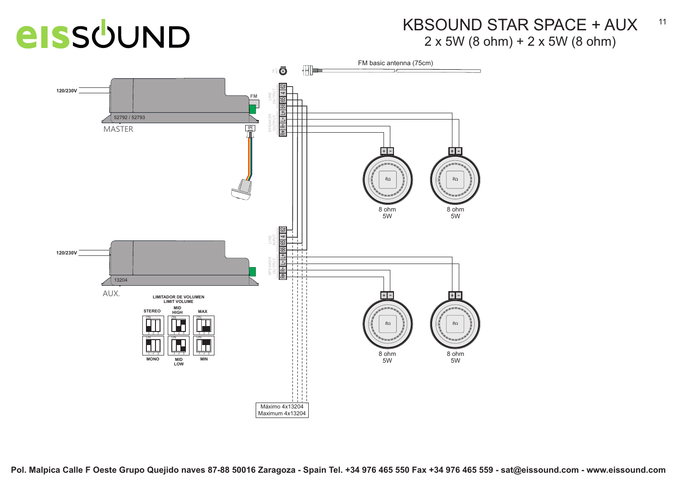#### KBSOUND STAR SPACE + AUX2 x 5W (8 ohm) + 2 x 5W (8 ohm)

11

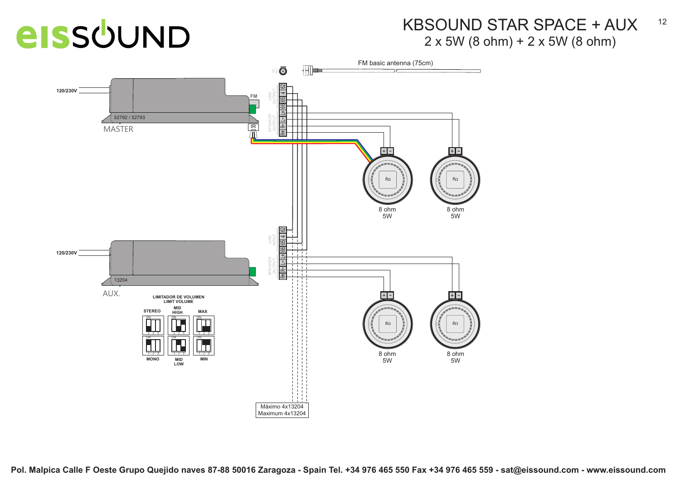#### KBSOUND STAR SPACE + AUX2 x 5W (8 ohm) + 2 x 5W (8 ohm)

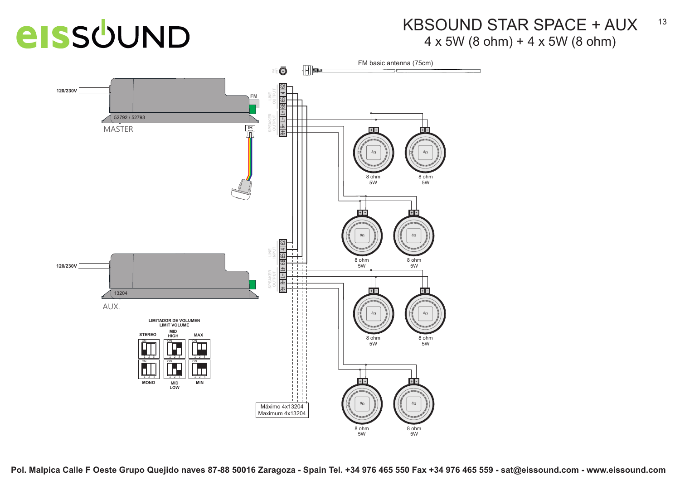#### KBSOUND STAR SPACE + AUX4 x 5W (8 ohm) + 4 x 5W (8 ohm)



**Pol. Malpica Calle F Oeste Grupo Quejido naves 87-88 50016 Zaragoza - Spain Tel. +34 976 465 550 Fax +34 976 465 559 - sat@eissound.com - www.eissound.com**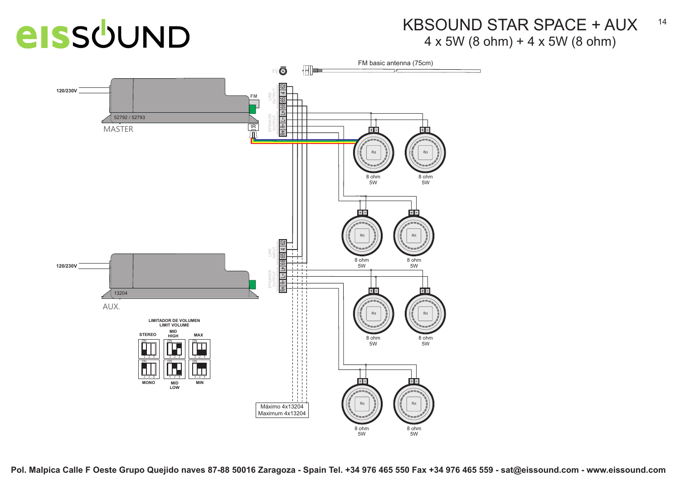#### KBSOUND STAR SPACE + AUX4 x 5W (8 ohm) + 4 x 5W (8 ohm)



**Pol. Malpica Calle F Oeste Grupo Quejido naves 87-88 50016 Zaragoza - Spain Tel. +34 976 465 550 Fax +34 976 465 559 - sat@eissound.com - www.eissound.com**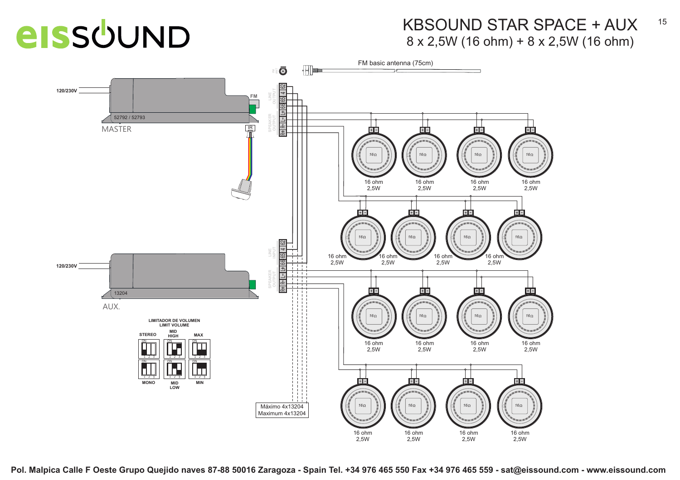#### KBSOUND STAR SPACE + AUX8 x 2,5W (16 ohm) + 8 x 2,5W (16 ohm)



**Pol. Malpica Calle F Oeste Grupo Quejido naves 87-88 50016 Zaragoza - Spain Tel. +34 976 465 550 Fax +34 976 465 559 - sat@eissound.com - www.eissound.com**